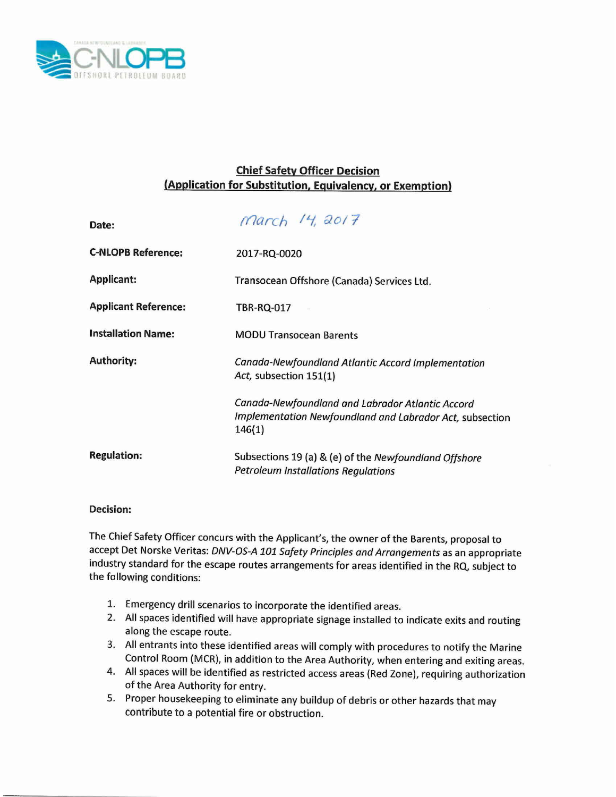

## **Chief Safety Officer Decision (Application for Substitution, Equivalency, or Exemption)**

| Date:                       | March 14, 2017                                                                                                         |
|-----------------------------|------------------------------------------------------------------------------------------------------------------------|
| <b>C-NLOPB Reference:</b>   | 2017-RQ-0020                                                                                                           |
| <b>Applicant:</b>           | Transocean Offshore (Canada) Services Ltd.                                                                             |
| <b>Applicant Reference:</b> | TBR-RQ-017                                                                                                             |
| <b>Installation Name:</b>   | <b>MODU Transocean Barents</b>                                                                                         |
| <b>Authority:</b>           | Canada-Newfoundland Atlantic Accord Implementation<br>Act, subsection 151(1)                                           |
|                             | Canada-Newfoundland and Labrador Atlantic Accord<br>Implementation Newfoundland and Labrador Act, subsection<br>146(1) |
| <b>Regulation:</b>          | Subsections 19 (a) & (e) of the Newfoundland Offshore<br><b>Petroleum Installations Regulations</b>                    |

## **Decision:**

The Chief Safety Officer concurs with the Applicant's, the owner of the Barents, proposal to accept Det Norske Veritas: *DNV-OS-A 101 Safety Principles and Arrangements* as an appropriate industry standard for the escape routes arrangements for areas identified in the RQ, subject to the following conditions:

- 1. Emergency drill scenarios to incorporate the identified areas.
- 2. All spaces identified will have appropriate signage installed to indicate exits and routing along the escape route.
- 3. All entrants into these identified areas will comply with procedures to notify the Marine Control Room (MCR), in addition to the Area Authority, when entering and exiting areas.
- 4. All spaces will be identified as restricted access areas (Red Zone), requiring authorization of the Area Authority for entry.
- 5. Proper housekeeping to eliminate any buildup of debris or other hazards that may contribute to a potential fire or obstruction.